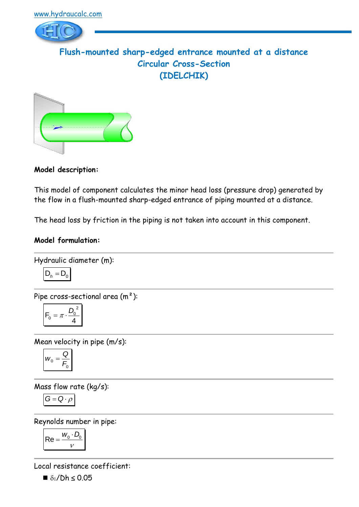

**Flush-mounted sharp-edged entrance mounted at a distance Circular Cross-Section (IDELCHIK)**



**Model description:**

This model of component calculates the minor head loss (pressure drop) generated by the flow in a flush-mounted sharp-edged entrance of piping mounted at a distance.

The head loss by friction in the piping is not taken into account in this component.

# **Model formulation:**

Hydraulic diameter (m):

$$
D_h = D_0
$$

Pipe cross-sectional area (m²):

$$
F_0 = \pi \cdot \frac{D_0^2}{4}
$$

Mean velocity in pipe (m/s):

$$
W_0 = \frac{Q}{F_0}
$$

Mass flow rate (kg/s):

$$
G=Q\cdot \rho
$$

Reynolds number in pipe:

$$
\mathsf{Re} = \frac{w_0 \cdot D_0}{v}
$$

Local resistance coefficient:

 $\blacksquare$   $\delta_1$ /Dh  $\leq$  0.05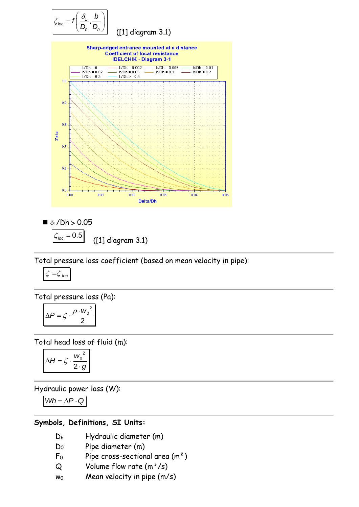

■ 
$$
\delta_1 / Dh > 0.05
$$
  
 $\sqrt{\frac{\zeta_{loc} = 0.5}{(1) \text{ diagram } 3.1}}$ 

Total pressure loss coefficient (based on mean velocity in pipe):

$$
\zeta = \zeta_{loc}
$$

Total pressure loss (Pa):

$$
\Delta P = \zeta \cdot \frac{\rho \cdot w_0^2}{2}
$$

Total head loss of fluid (m):

$$
\Delta H = \zeta \cdot \frac{w_0^2}{2 \cdot g}
$$

Hydraulic power loss (W):

 $Wh = \Delta P \cdot Q$ 

#### **Symbols, Definitions, SI Units:**

- D<sup>h</sup> Hydraulic diameter (m)
- D<sup>0</sup> Pipe diameter (m)
- $F_0$  Pipe cross-sectional area  $(m^2)$
- $Q$  Volume flow rate  $(m^3/s)$
- $w_0$  Mean velocity in pipe  $(m/s)$